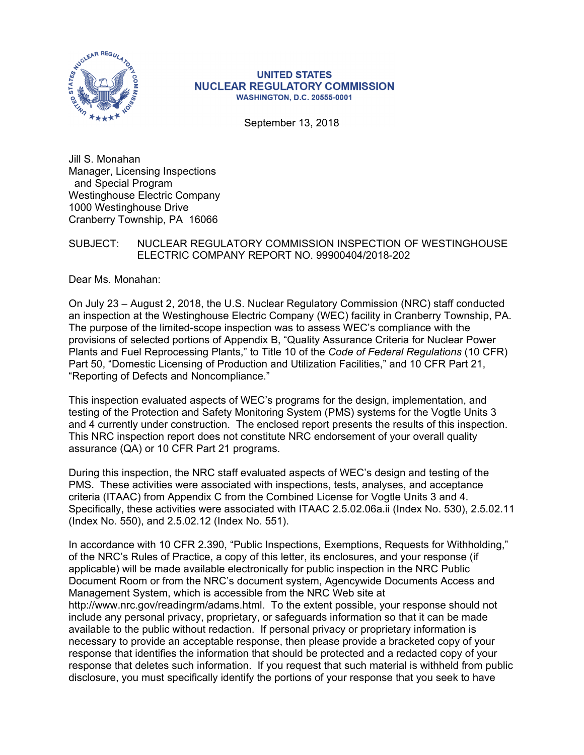

#### **UNITED STATES NUCLEAR REGULATORY COMMISSION WASHINGTON, D.C. 20555-0001**

September 13, 2018

Jill S. Monahan Manager, Licensing Inspections and Special Program Westinghouse Electric Company 1000 Westinghouse Drive Cranberry Township, PA 16066

## SUBJECT: NUCLEAR REGULATORY COMMISSION INSPECTION OF WESTINGHOUSE ELECTRIC COMPANY REPORT NO. 99900404/2018-202

Dear Ms. Monahan:

On July 23 – August 2, 2018, the U.S. Nuclear Regulatory Commission (NRC) staff conducted an inspection at the Westinghouse Electric Company (WEC) facility in Cranberry Township, PA. The purpose of the limited-scope inspection was to assess WEC's compliance with the provisions of selected portions of Appendix B, "Quality Assurance Criteria for Nuclear Power Plants and Fuel Reprocessing Plants," to Title 10 of the *Code of Federal Regulations* (10 CFR) Part 50, "Domestic Licensing of Production and Utilization Facilities," and 10 CFR Part 21, "Reporting of Defects and Noncompliance."

This inspection evaluated aspects of WEC's programs for the design, implementation, and testing of the Protection and Safety Monitoring System (PMS) systems for the Vogtle Units 3 and 4 currently under construction. The enclosed report presents the results of this inspection. This NRC inspection report does not constitute NRC endorsement of your overall quality assurance (QA) or 10 CFR Part 21 programs.

During this inspection, the NRC staff evaluated aspects of WEC's design and testing of the PMS. These activities were associated with inspections, tests, analyses, and acceptance criteria (ITAAC) from Appendix C from the Combined License for Vogtle Units 3 and 4. Specifically, these activities were associated with ITAAC 2.5.02.06a.ii (Index No. 530), 2.5.02.11 (Index No. 550), and 2.5.02.12 (Index No. 551).

In accordance with 10 CFR 2.390, "Public Inspections, Exemptions, Requests for Withholding," of the NRC's Rules of Practice, a copy of this letter, its enclosures, and your response (if applicable) will be made available electronically for public inspection in the NRC Public Document Room or from the NRC's document system, Agencywide Documents Access and Management System, which is accessible from the NRC Web site at http://www.nrc.gov/readingrm/adams.html. To the extent possible, your response should not include any personal privacy, proprietary, or safeguards information so that it can be made available to the public without redaction. If personal privacy or proprietary information is necessary to provide an acceptable response, then please provide a bracketed copy of your response that identifies the information that should be protected and a redacted copy of your response that deletes such information. If you request that such material is withheld from public disclosure, you must specifically identify the portions of your response that you seek to have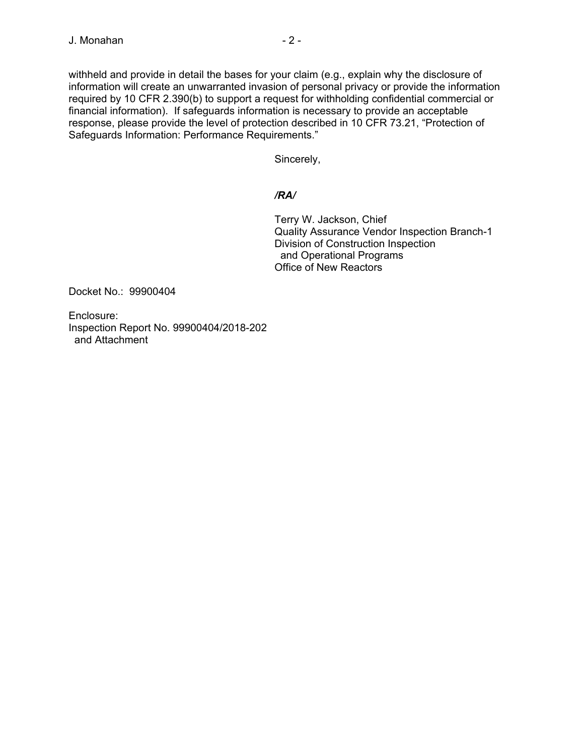withheld and provide in detail the bases for your claim (e.g., explain why the disclosure of information will create an unwarranted invasion of personal privacy or provide the information required by 10 CFR 2.390(b) to support a request for withholding confidential commercial or financial information). If safeguards information is necessary to provide an acceptable response, please provide the level of protection described in 10 CFR 73.21, "Protection of Safeguards Information: Performance Requirements."

Sincerely,

# */RA/*

Terry W. Jackson, Chief Quality Assurance Vendor Inspection Branch-1 Division of Construction Inspection and Operational Programs Office of New Reactors

Docket No.: 99900404

Enclosure: Inspection Report No. 99900404/2018-202 and Attachment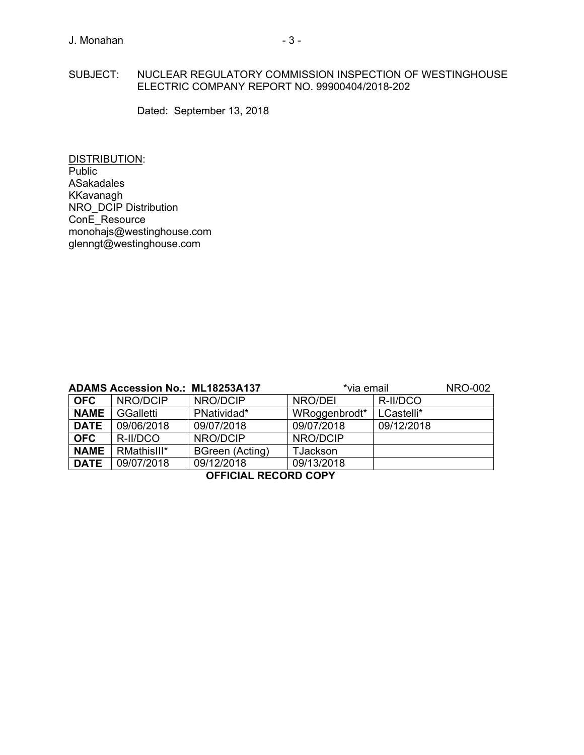#### SUBJECT: NUCLEAR REGULATORY COMMISSION INSPECTION OF WESTINGHOUSE ELECTRIC COMPANY REPORT NO. 99900404/2018-202

Dated: September 13, 2018

DISTRIBUTION: Public ASakadales KKavanagh NRO\_DCIP Distribution ConE\_Resource monohajs@westinghouse.com glenngt@westinghouse.com

|                             | <b>ADAMS Accession No.: ML18253A137</b> |                 | *via email      | <b>NRO-002</b> |  |
|-----------------------------|-----------------------------------------|-----------------|-----------------|----------------|--|
| <b>OFC</b>                  | NRO/DCIP                                | NRO/DCIP        | NRO/DEI         | R-II/DCO       |  |
| <b>NAME</b>                 | GGalletti                               | PNatividad*     | WRoggenbrodt*   | LCastelli*     |  |
| <b>DATE</b>                 | 09/06/2018                              | 09/07/2018      | 09/07/2018      | 09/12/2018     |  |
| <b>OFC</b>                  | R-II/DCO                                | NRO/DCIP        | NRO/DCIP        |                |  |
| <b>NAME</b>                 | RMathisIII*                             | BGreen (Acting) | <b>TJackson</b> |                |  |
| <b>DATE</b>                 | 09/07/2018                              | 09/12/2018      | 09/13/2018      |                |  |
| <b>OFFICIAL RECORD COPY</b> |                                         |                 |                 |                |  |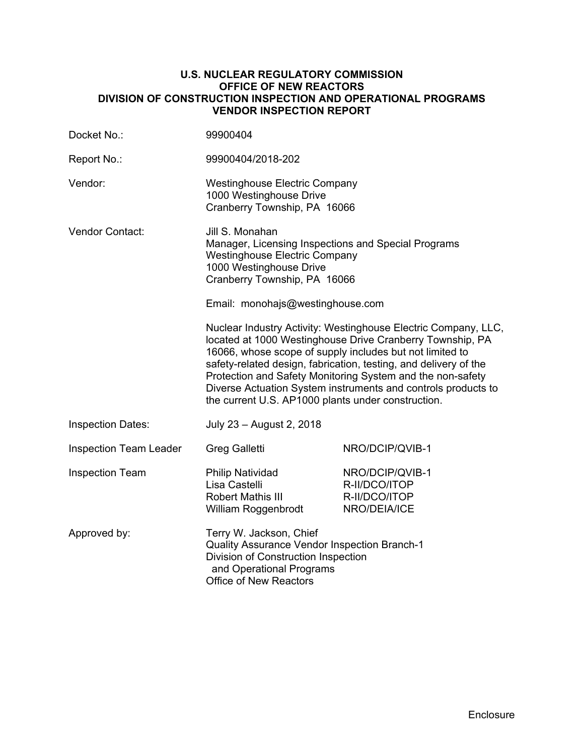#### **U.S. NUCLEAR REGULATORY COMMISSION OFFICE OF NEW REACTORS DIVISION OF CONSTRUCTION INSPECTION AND OPERATIONAL PROGRAMS VENDOR INSPECTION REPORT**

| Docket No.:                   | 99900404                                                                                                                                                                                                                                                                                                                                                                                                                                                                                                                                                                                                                                                          |                                                                   |  |  |
|-------------------------------|-------------------------------------------------------------------------------------------------------------------------------------------------------------------------------------------------------------------------------------------------------------------------------------------------------------------------------------------------------------------------------------------------------------------------------------------------------------------------------------------------------------------------------------------------------------------------------------------------------------------------------------------------------------------|-------------------------------------------------------------------|--|--|
| Report No.:                   | 99900404/2018-202                                                                                                                                                                                                                                                                                                                                                                                                                                                                                                                                                                                                                                                 |                                                                   |  |  |
| Vendor:                       | <b>Westinghouse Electric Company</b><br>1000 Westinghouse Drive<br>Cranberry Township, PA 16066                                                                                                                                                                                                                                                                                                                                                                                                                                                                                                                                                                   |                                                                   |  |  |
| <b>Vendor Contact:</b>        | Jill S. Monahan<br>Manager, Licensing Inspections and Special Programs<br><b>Westinghouse Electric Company</b><br>1000 Westinghouse Drive<br>Cranberry Township, PA 16066<br>Email: monohajs@westinghouse.com<br>Nuclear Industry Activity: Westinghouse Electric Company, LLC,<br>located at 1000 Westinghouse Drive Cranberry Township, PA<br>16066, whose scope of supply includes but not limited to<br>safety-related design, fabrication, testing, and delivery of the<br>Protection and Safety Monitoring System and the non-safety<br>Diverse Actuation System instruments and controls products to<br>the current U.S. AP1000 plants under construction. |                                                                   |  |  |
| <b>Inspection Dates:</b>      | July 23 - August 2, 2018                                                                                                                                                                                                                                                                                                                                                                                                                                                                                                                                                                                                                                          |                                                                   |  |  |
| <b>Inspection Team Leader</b> | <b>Greg Galletti</b>                                                                                                                                                                                                                                                                                                                                                                                                                                                                                                                                                                                                                                              | NRO/DCIP/QVIB-1                                                   |  |  |
| <b>Inspection Team</b>        | <b>Philip Natividad</b><br>Lisa Castelli<br><b>Robert Mathis III</b><br>William Roggenbrodt                                                                                                                                                                                                                                                                                                                                                                                                                                                                                                                                                                       | NRO/DCIP/QVIB-1<br>R-II/DCO/ITOP<br>R-II/DCO/ITOP<br>NRO/DEIA/ICE |  |  |
| Approved by:                  | Terry W. Jackson, Chief<br><b>Quality Assurance Vendor Inspection Branch-1</b><br>Division of Construction Inspection<br>and Operational Programs<br><b>Office of New Reactors</b>                                                                                                                                                                                                                                                                                                                                                                                                                                                                                |                                                                   |  |  |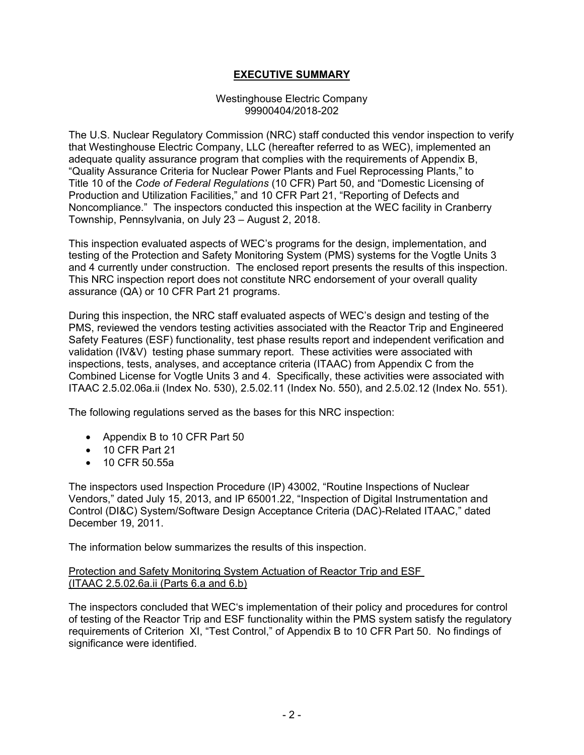## **EXECUTIVE SUMMARY**

#### Westinghouse Electric Company 99900404/2018-202

The U.S. Nuclear Regulatory Commission (NRC) staff conducted this vendor inspection to verify that Westinghouse Electric Company, LLC (hereafter referred to as WEC), implemented an adequate quality assurance program that complies with the requirements of Appendix B, "Quality Assurance Criteria for Nuclear Power Plants and Fuel Reprocessing Plants," to Title 10 of the *Code of Federal Regulations* (10 CFR) Part 50, and "Domestic Licensing of Production and Utilization Facilities," and 10 CFR Part 21, "Reporting of Defects and Noncompliance." The inspectors conducted this inspection at the WEC facility in Cranberry Township, Pennsylvania, on July 23 – August 2, 2018.

This inspection evaluated aspects of WEC's programs for the design, implementation, and testing of the Protection and Safety Monitoring System (PMS) systems for the Vogtle Units 3 and 4 currently under construction. The enclosed report presents the results of this inspection. This NRC inspection report does not constitute NRC endorsement of your overall quality assurance (QA) or 10 CFR Part 21 programs.

During this inspection, the NRC staff evaluated aspects of WEC's design and testing of the PMS, reviewed the vendors testing activities associated with the Reactor Trip and Engineered Safety Features (ESF) functionality, test phase results report and independent verification and validation (IV&V) testing phase summary report. These activities were associated with inspections, tests, analyses, and acceptance criteria (ITAAC) from Appendix C from the Combined License for Vogtle Units 3 and 4. Specifically, these activities were associated with ITAAC 2.5.02.06a.ii (Index No. 530), 2.5.02.11 (Index No. 550), and 2.5.02.12 (Index No. 551).

The following regulations served as the bases for this NRC inspection:

- Appendix B to 10 CFR Part 50
- 10 CFR Part 21
- 10 CFR 50.55a

The inspectors used Inspection Procedure (IP) 43002, "Routine Inspections of Nuclear Vendors," dated July 15, 2013, and IP 65001.22, "Inspection of Digital Instrumentation and Control (DI&C) System/Software Design Acceptance Criteria (DAC)-Related ITAAC," dated December 19, 2011.

The information below summarizes the results of this inspection.

#### Protection and Safety Monitoring System Actuation of Reactor Trip and ESF (ITAAC 2.5.02.6a.ii (Parts 6.a and 6.b)

The inspectors concluded that WEC's implementation of their policy and procedures for control of testing of the Reactor Trip and ESF functionality within the PMS system satisfy the regulatory requirements of Criterion XI, "Test Control," of Appendix B to 10 CFR Part 50. No findings of significance were identified.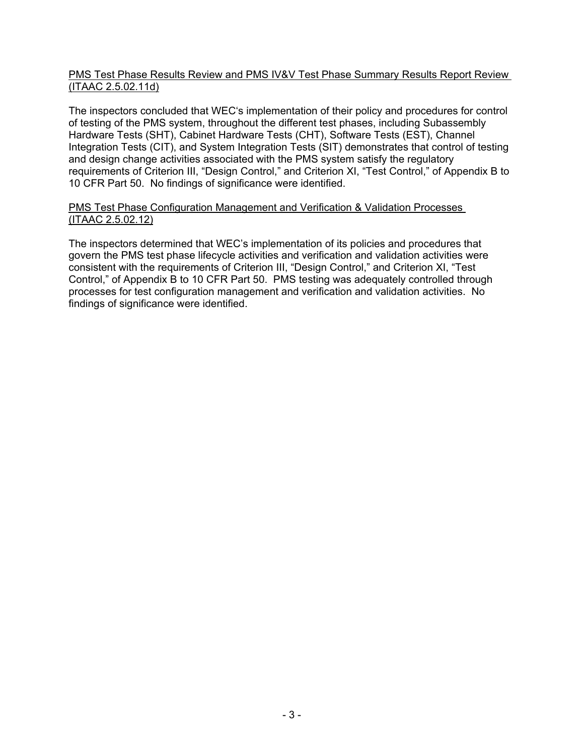## PMS Test Phase Results Review and PMS IV&V Test Phase Summary Results Report Review (ITAAC 2.5.02.11d)

The inspectors concluded that WEC's implementation of their policy and procedures for control of testing of the PMS system, throughout the different test phases, including Subassembly Hardware Tests (SHT), Cabinet Hardware Tests (CHT), Software Tests (EST), Channel Integration Tests (CIT), and System Integration Tests (SIT) demonstrates that control of testing and design change activities associated with the PMS system satisfy the regulatory requirements of Criterion III, "Design Control," and Criterion XI, "Test Control," of Appendix B to 10 CFR Part 50. No findings of significance were identified.

## PMS Test Phase Configuration Management and Verification & Validation Processes (ITAAC 2.5.02.12)

The inspectors determined that WEC's implementation of its policies and procedures that govern the PMS test phase lifecycle activities and verification and validation activities were consistent with the requirements of Criterion III, "Design Control," and Criterion XI, "Test Control," of Appendix B to 10 CFR Part 50. PMS testing was adequately controlled through processes for test configuration management and verification and validation activities. No findings of significance were identified.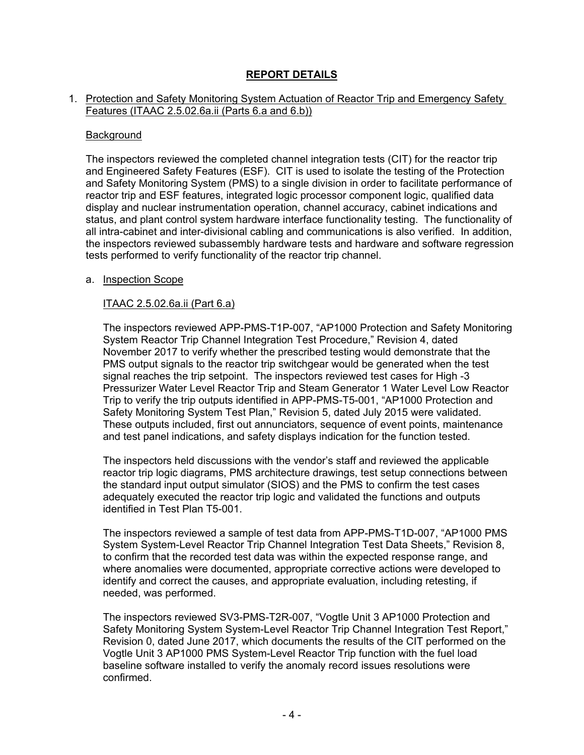## **REPORT DETAILS**

### 1. Protection and Safety Monitoring System Actuation of Reactor Trip and Emergency Safety Features (ITAAC 2.5.02.6a.ii (Parts 6.a and 6.b))

#### **Background**

The inspectors reviewed the completed channel integration tests (CIT) for the reactor trip and Engineered Safety Features (ESF). CIT is used to isolate the testing of the Protection and Safety Monitoring System (PMS) to a single division in order to facilitate performance of reactor trip and ESF features, integrated logic processor component logic, qualified data display and nuclear instrumentation operation, channel accuracy, cabinet indications and status, and plant control system hardware interface functionality testing. The functionality of all intra-cabinet and inter-divisional cabling and communications is also verified. In addition, the inspectors reviewed subassembly hardware tests and hardware and software regression tests performed to verify functionality of the reactor trip channel.

#### a. Inspection Scope

## ITAAC 2.5.02.6a.ii (Part 6.a)

The inspectors reviewed APP-PMS-T1P-007, "AP1000 Protection and Safety Monitoring System Reactor Trip Channel Integration Test Procedure," Revision 4, dated November 2017 to verify whether the prescribed testing would demonstrate that the PMS output signals to the reactor trip switchgear would be generated when the test signal reaches the trip setpoint. The inspectors reviewed test cases for High -3 Pressurizer Water Level Reactor Trip and Steam Generator 1 Water Level Low Reactor Trip to verify the trip outputs identified in APP-PMS-T5-001, "AP1000 Protection and Safety Monitoring System Test Plan," Revision 5, dated July 2015 were validated. These outputs included, first out annunciators, sequence of event points, maintenance and test panel indications, and safety displays indication for the function tested.

The inspectors held discussions with the vendor's staff and reviewed the applicable reactor trip logic diagrams, PMS architecture drawings, test setup connections between the standard input output simulator (SIOS) and the PMS to confirm the test cases adequately executed the reactor trip logic and validated the functions and outputs identified in Test Plan T5-001.

The inspectors reviewed a sample of test data from APP-PMS-T1D-007, "AP1000 PMS System System-Level Reactor Trip Channel Integration Test Data Sheets," Revision 8, to confirm that the recorded test data was within the expected response range, and where anomalies were documented, appropriate corrective actions were developed to identify and correct the causes, and appropriate evaluation, including retesting, if needed, was performed.

The inspectors reviewed SV3-PMS-T2R-007, "Vogtle Unit 3 AP1000 Protection and Safety Monitoring System System-Level Reactor Trip Channel Integration Test Report," Revision 0, dated June 2017, which documents the results of the CIT performed on the Vogtle Unit 3 AP1000 PMS System-Level Reactor Trip function with the fuel load baseline software installed to verify the anomaly record issues resolutions were confirmed.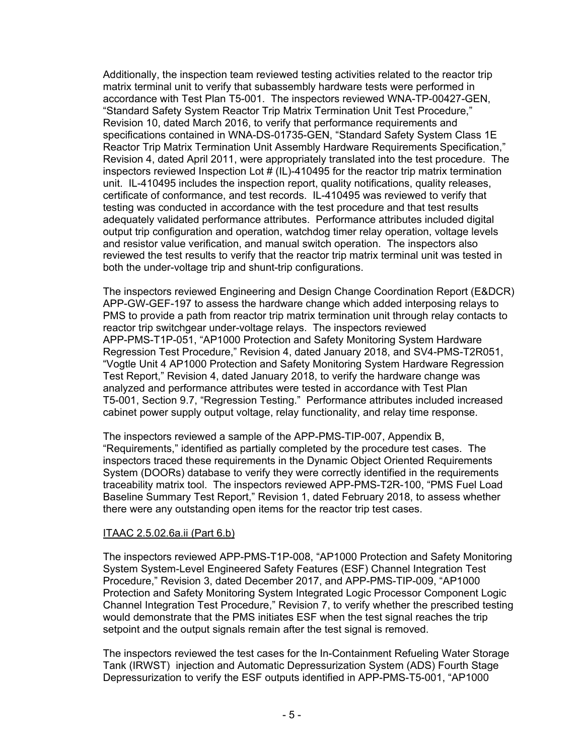Additionally, the inspection team reviewed testing activities related to the reactor trip matrix terminal unit to verify that subassembly hardware tests were performed in accordance with Test Plan T5-001. The inspectors reviewed WNA-TP-00427-GEN, "Standard Safety System Reactor Trip Matrix Termination Unit Test Procedure," Revision 10, dated March 2016, to verify that performance requirements and specifications contained in WNA-DS-01735-GEN, "Standard Safety System Class 1E Reactor Trip Matrix Termination Unit Assembly Hardware Requirements Specification," Revision 4, dated April 2011, were appropriately translated into the test procedure. The inspectors reviewed Inspection Lot  $# (IL)$ -410495 for the reactor trip matrix termination unit. IL-410495 includes the inspection report, quality notifications, quality releases, certificate of conformance, and test records. IL-410495 was reviewed to verify that testing was conducted in accordance with the test procedure and that test results adequately validated performance attributes. Performance attributes included digital output trip configuration and operation, watchdog timer relay operation, voltage levels and resistor value verification, and manual switch operation. The inspectors also reviewed the test results to verify that the reactor trip matrix terminal unit was tested in both the under-voltage trip and shunt-trip configurations.

The inspectors reviewed Engineering and Design Change Coordination Report (E&DCR) APP-GW-GEF-197 to assess the hardware change which added interposing relays to PMS to provide a path from reactor trip matrix termination unit through relay contacts to reactor trip switchgear under-voltage relays. The inspectors reviewed APP-PMS-T1P-051, "AP1000 Protection and Safety Monitoring System Hardware Regression Test Procedure," Revision 4, dated January 2018, and SV4-PMS-T2R051, "Vogtle Unit 4 AP1000 Protection and Safety Monitoring System Hardware Regression Test Report," Revision 4, dated January 2018, to verify the hardware change was analyzed and performance attributes were tested in accordance with Test Plan T5-001, Section 9.7, "Regression Testing." Performance attributes included increased cabinet power supply output voltage, relay functionality, and relay time response.

The inspectors reviewed a sample of the APP-PMS-TIP-007, Appendix B, "Requirements," identified as partially completed by the procedure test cases. The inspectors traced these requirements in the Dynamic Object Oriented Requirements System (DOORs) database to verify they were correctly identified in the requirements traceability matrix tool. The inspectors reviewed APP-PMS-T2R-100, "PMS Fuel Load Baseline Summary Test Report," Revision 1, dated February 2018, to assess whether there were any outstanding open items for the reactor trip test cases.

## ITAAC 2.5.02.6a.ii (Part 6.b)

The inspectors reviewed APP-PMS-T1P-008, "AP1000 Protection and Safety Monitoring System System-Level Engineered Safety Features (ESF) Channel Integration Test Procedure," Revision 3, dated December 2017, and APP-PMS-TIP-009, "AP1000 Protection and Safety Monitoring System Integrated Logic Processor Component Logic Channel Integration Test Procedure," Revision 7, to verify whether the prescribed testing would demonstrate that the PMS initiates ESF when the test signal reaches the trip setpoint and the output signals remain after the test signal is removed.

The inspectors reviewed the test cases for the In-Containment Refueling Water Storage Tank (IRWST) injection and Automatic Depressurization System (ADS) Fourth Stage Depressurization to verify the ESF outputs identified in APP-PMS-T5-001, "AP1000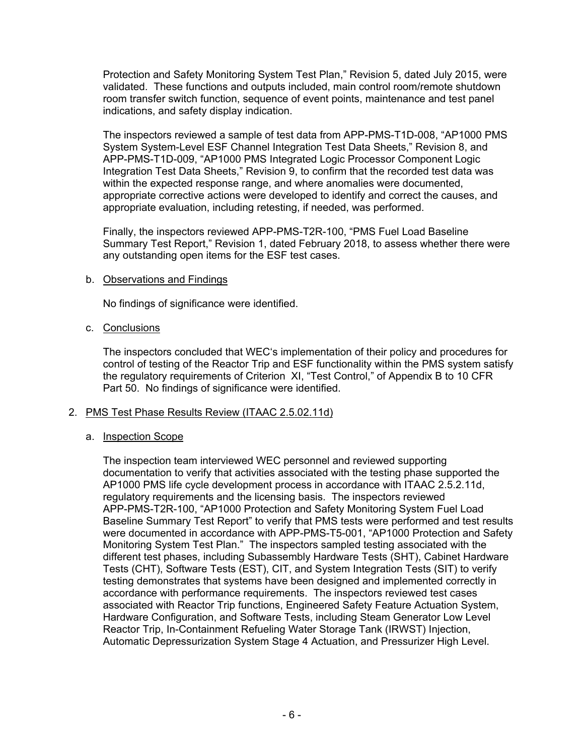Protection and Safety Monitoring System Test Plan," Revision 5, dated July 2015, were validated. These functions and outputs included, main control room/remote shutdown room transfer switch function, sequence of event points, maintenance and test panel indications, and safety display indication.

The inspectors reviewed a sample of test data from APP-PMS-T1D-008, "AP1000 PMS System System-Level ESF Channel Integration Test Data Sheets," Revision 8, and APP-PMS-T1D-009, "AP1000 PMS Integrated Logic Processor Component Logic Integration Test Data Sheets," Revision 9, to confirm that the recorded test data was within the expected response range, and where anomalies were documented, appropriate corrective actions were developed to identify and correct the causes, and appropriate evaluation, including retesting, if needed, was performed.

Finally, the inspectors reviewed APP-PMS-T2R-100, "PMS Fuel Load Baseline Summary Test Report," Revision 1, dated February 2018, to assess whether there were any outstanding open items for the ESF test cases.

## b. Observations and Findings

No findings of significance were identified.

## c. Conclusions

The inspectors concluded that WEC's implementation of their policy and procedures for control of testing of the Reactor Trip and ESF functionality within the PMS system satisfy the regulatory requirements of Criterion XI, "Test Control," of Appendix B to 10 CFR Part 50. No findings of significance were identified.

## 2. PMS Test Phase Results Review (ITAAC 2.5.02.11d)

## a. Inspection Scope

The inspection team interviewed WEC personnel and reviewed supporting documentation to verify that activities associated with the testing phase supported the AP1000 PMS life cycle development process in accordance with ITAAC 2.5.2.11d, regulatory requirements and the licensing basis. The inspectors reviewed APP-PMS-T2R-100, "AP1000 Protection and Safety Monitoring System Fuel Load Baseline Summary Test Report" to verify that PMS tests were performed and test results were documented in accordance with APP-PMS-T5-001, "AP1000 Protection and Safety Monitoring System Test Plan." The inspectors sampled testing associated with the different test phases, including Subassembly Hardware Tests (SHT), Cabinet Hardware Tests (CHT), Software Tests (EST), CIT, and System Integration Tests (SIT) to verify testing demonstrates that systems have been designed and implemented correctly in accordance with performance requirements. The inspectors reviewed test cases associated with Reactor Trip functions, Engineered Safety Feature Actuation System, Hardware Configuration, and Software Tests, including Steam Generator Low Level Reactor Trip, In-Containment Refueling Water Storage Tank (IRWST) Injection, Automatic Depressurization System Stage 4 Actuation, and Pressurizer High Level.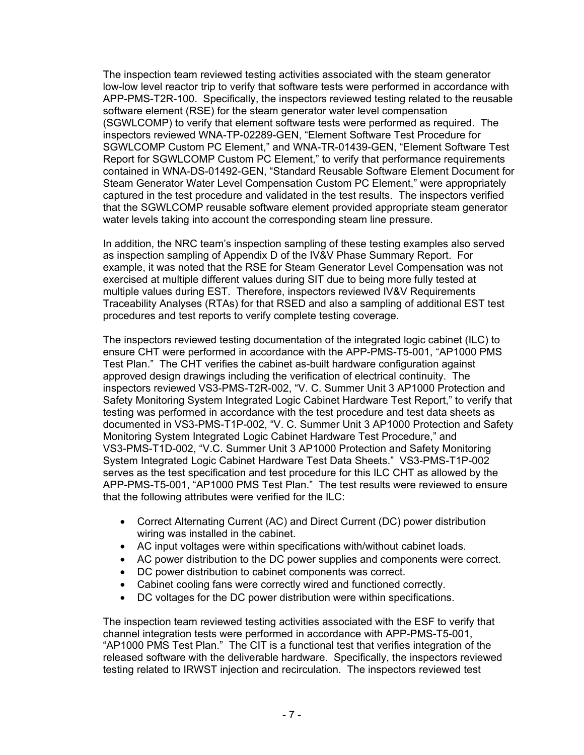The inspection team reviewed testing activities associated with the steam generator low-low level reactor trip to verify that software tests were performed in accordance with APP-PMS-T2R-100. Specifically, the inspectors reviewed testing related to the reusable software element (RSE) for the steam generator water level compensation (SGWLCOMP) to verify that element software tests were performed as required. The inspectors reviewed WNA-TP-02289-GEN, "Element Software Test Procedure for SGWLCOMP Custom PC Element," and WNA-TR-01439-GEN, "Element Software Test Report for SGWLCOMP Custom PC Element," to verify that performance requirements contained in WNA-DS-01492-GEN, "Standard Reusable Software Element Document for Steam Generator Water Level Compensation Custom PC Element," were appropriately captured in the test procedure and validated in the test results. The inspectors verified that the SGWLCOMP reusable software element provided appropriate steam generator water levels taking into account the corresponding steam line pressure.

In addition, the NRC team's inspection sampling of these testing examples also served as inspection sampling of Appendix D of the IV&V Phase Summary Report. For example, it was noted that the RSE for Steam Generator Level Compensation was not exercised at multiple different values during SIT due to being more fully tested at multiple values during EST. Therefore, inspectors reviewed IV&V Requirements Traceability Analyses (RTAs) for that RSED and also a sampling of additional EST test procedures and test reports to verify complete testing coverage.

The inspectors reviewed testing documentation of the integrated logic cabinet (ILC) to ensure CHT were performed in accordance with the APP-PMS-T5-001, "AP1000 PMS Test Plan." The CHT verifies the cabinet as-built hardware configuration against approved design drawings including the verification of electrical continuity. The inspectors reviewed VS3-PMS-T2R-002, "V. C. Summer Unit 3 AP1000 Protection and Safety Monitoring System Integrated Logic Cabinet Hardware Test Report," to verify that testing was performed in accordance with the test procedure and test data sheets as documented in VS3-PMS-T1P-002, "V. C. Summer Unit 3 AP1000 Protection and Safety Monitoring System Integrated Logic Cabinet Hardware Test Procedure," and VS3-PMS-T1D-002, "V.C. Summer Unit 3 AP1000 Protection and Safety Monitoring System Integrated Logic Cabinet Hardware Test Data Sheets." VS3-PMS-T1P-002 serves as the test specification and test procedure for this ILC CHT as allowed by the APP-PMS-T5-001, "AP1000 PMS Test Plan." The test results were reviewed to ensure that the following attributes were verified for the ILC:

- Correct Alternating Current (AC) and Direct Current (DC) power distribution wiring was installed in the cabinet.
- AC input voltages were within specifications with/without cabinet loads.
- AC power distribution to the DC power supplies and components were correct.
- DC power distribution to cabinet components was correct.
- Cabinet cooling fans were correctly wired and functioned correctly.
- DC voltages for the DC power distribution were within specifications.

The inspection team reviewed testing activities associated with the ESF to verify that channel integration tests were performed in accordance with APP-PMS-T5-001, "AP1000 PMS Test Plan." The CIT is a functional test that verifies integration of the released software with the deliverable hardware. Specifically, the inspectors reviewed testing related to IRWST injection and recirculation. The inspectors reviewed test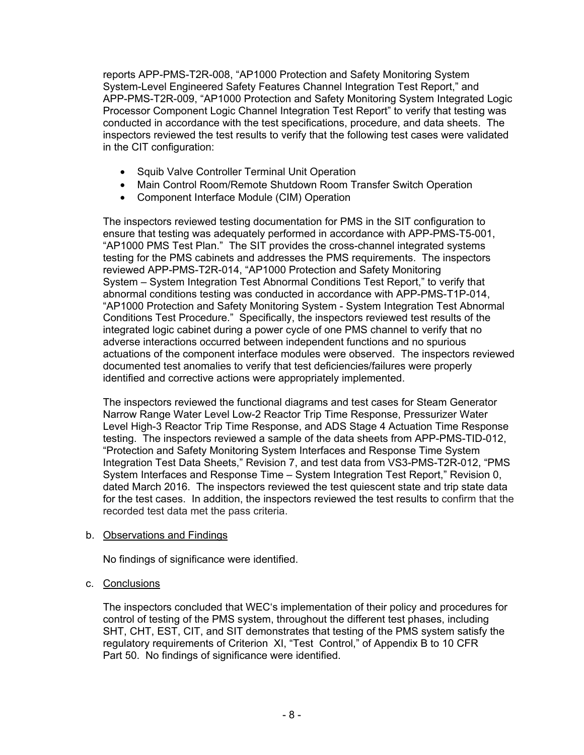reports APP-PMS-T2R-008, "AP1000 Protection and Safety Monitoring System System-Level Engineered Safety Features Channel Integration Test Report," and APP-PMS-T2R-009, "AP1000 Protection and Safety Monitoring System Integrated Logic Processor Component Logic Channel Integration Test Report" to verify that testing was conducted in accordance with the test specifications, procedure, and data sheets. The inspectors reviewed the test results to verify that the following test cases were validated in the CIT configuration:

- Squib Valve Controller Terminal Unit Operation
- Main Control Room/Remote Shutdown Room Transfer Switch Operation
- Component Interface Module (CIM) Operation

The inspectors reviewed testing documentation for PMS in the SIT configuration to ensure that testing was adequately performed in accordance with APP-PMS-T5-001, "AP1000 PMS Test Plan." The SIT provides the cross-channel integrated systems testing for the PMS cabinets and addresses the PMS requirements. The inspectors reviewed APP-PMS-T2R-014, "AP1000 Protection and Safety Monitoring System – System Integration Test Abnormal Conditions Test Report," to verify that abnormal conditions testing was conducted in accordance with APP-PMS-T1P-014, "AP1000 Protection and Safety Monitoring System - System Integration Test Abnormal Conditions Test Procedure." Specifically, the inspectors reviewed test results of the integrated logic cabinet during a power cycle of one PMS channel to verify that no adverse interactions occurred between independent functions and no spurious actuations of the component interface modules were observed. The inspectors reviewed documented test anomalies to verify that test deficiencies/failures were properly identified and corrective actions were appropriately implemented.

The inspectors reviewed the functional diagrams and test cases for Steam Generator Narrow Range Water Level Low-2 Reactor Trip Time Response, Pressurizer Water Level High-3 Reactor Trip Time Response, and ADS Stage 4 Actuation Time Response testing. The inspectors reviewed a sample of the data sheets from APP-PMS-TID-012, "Protection and Safety Monitoring System Interfaces and Response Time System Integration Test Data Sheets," Revision 7, and test data from VS3-PMS-T2R-012, "PMS System Interfaces and Response Time – System Integration Test Report," Revision 0, dated March 2016. The inspectors reviewed the test quiescent state and trip state data for the test cases. In addition, the inspectors reviewed the test results to confirm that the recorded test data met the pass criteria.

## b. Observations and Findings

No findings of significance were identified.

## c. Conclusions

The inspectors concluded that WEC's implementation of their policy and procedures for control of testing of the PMS system, throughout the different test phases, including SHT, CHT, EST, CIT, and SIT demonstrates that testing of the PMS system satisfy the regulatory requirements of Criterion XI, "Test Control," of Appendix B to 10 CFR Part 50. No findings of significance were identified.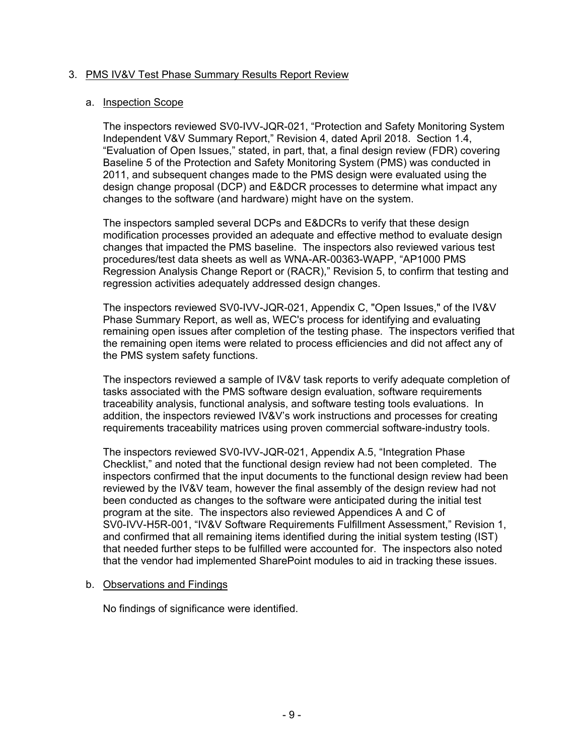## 3. PMS IV&V Test Phase Summary Results Report Review

#### a. Inspection Scope

The inspectors reviewed SV0-IVV-JQR-021, "Protection and Safety Monitoring System Independent V&V Summary Report," Revision 4, dated April 2018. Section 1.4, "Evaluation of Open Issues," stated, in part, that, a final design review (FDR) covering Baseline 5 of the Protection and Safety Monitoring System (PMS) was conducted in 2011, and subsequent changes made to the PMS design were evaluated using the design change proposal (DCP) and E&DCR processes to determine what impact any changes to the software (and hardware) might have on the system.

The inspectors sampled several DCPs and E&DCRs to verify that these design modification processes provided an adequate and effective method to evaluate design changes that impacted the PMS baseline. The inspectors also reviewed various test procedures/test data sheets as well as WNA-AR-00363-WAPP, "AP1000 PMS Regression Analysis Change Report or (RACR)," Revision 5, to confirm that testing and regression activities adequately addressed design changes.

The inspectors reviewed SV0-IVV-JQR-021, Appendix C, "Open Issues," of the IV&V Phase Summary Report, as well as, WEC's process for identifying and evaluating remaining open issues after completion of the testing phase. The inspectors verified that the remaining open items were related to process efficiencies and did not affect any of the PMS system safety functions.

The inspectors reviewed a sample of IV&V task reports to verify adequate completion of tasks associated with the PMS software design evaluation, software requirements traceability analysis, functional analysis, and software testing tools evaluations. In addition, the inspectors reviewed IV&V's work instructions and processes for creating requirements traceability matrices using proven commercial software-industry tools.

The inspectors reviewed SV0-IVV-JQR-021, Appendix A.5, "Integration Phase Checklist," and noted that the functional design review had not been completed. The inspectors confirmed that the input documents to the functional design review had been reviewed by the IV&V team, however the final assembly of the design review had not been conducted as changes to the software were anticipated during the initial test program at the site. The inspectors also reviewed Appendices A and C of SV0-IVV-H5R-001, "IV&V Software Requirements Fulfillment Assessment," Revision 1, and confirmed that all remaining items identified during the initial system testing (IST) that needed further steps to be fulfilled were accounted for. The inspectors also noted that the vendor had implemented SharePoint modules to aid in tracking these issues.

#### b. Observations and Findings

No findings of significance were identified.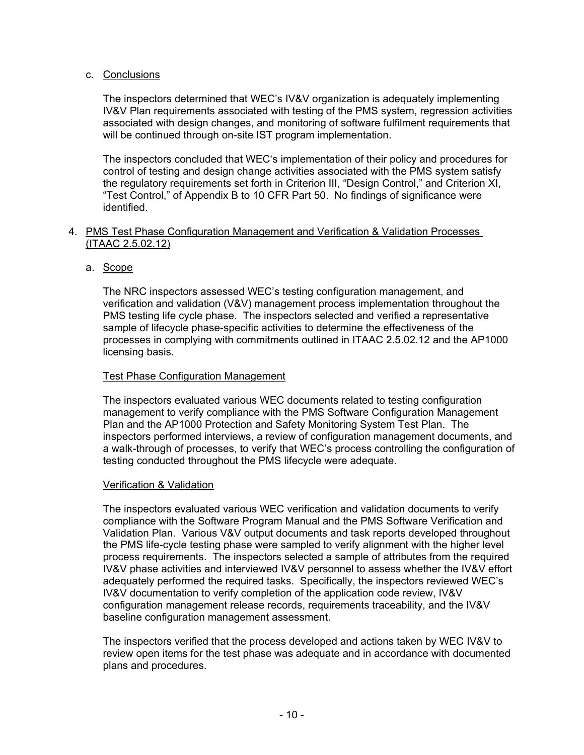## c. Conclusions

The inspectors determined that WEC's IV&V organization is adequately implementing IV&V Plan requirements associated with testing of the PMS system, regression activities associated with design changes, and monitoring of software fulfilment requirements that will be continued through on-site IST program implementation.

The inspectors concluded that WEC's implementation of their policy and procedures for control of testing and design change activities associated with the PMS system satisfy the regulatory requirements set forth in Criterion III, "Design Control," and Criterion XI, "Test Control," of Appendix B to 10 CFR Part 50. No findings of significance were identified.

#### 4. PMS Test Phase Configuration Management and Verification & Validation Processes (ITAAC 2.5.02.12)

## a. Scope

The NRC inspectors assessed WEC's testing configuration management, and verification and validation (V&V) management process implementation throughout the PMS testing life cycle phase. The inspectors selected and verified a representative sample of lifecycle phase-specific activities to determine the effectiveness of the processes in complying with commitments outlined in ITAAC 2.5.02.12 and the AP1000 licensing basis.

#### Test Phase Configuration Management

The inspectors evaluated various WEC documents related to testing configuration management to verify compliance with the PMS Software Configuration Management Plan and the AP1000 Protection and Safety Monitoring System Test Plan. The inspectors performed interviews, a review of configuration management documents, and a walk-through of processes, to verify that WEC's process controlling the configuration of testing conducted throughout the PMS lifecycle were adequate.

#### Verification & Validation

The inspectors evaluated various WEC verification and validation documents to verify compliance with the Software Program Manual and the PMS Software Verification and Validation Plan. Various V&V output documents and task reports developed throughout the PMS life-cycle testing phase were sampled to verify alignment with the higher level process requirements. The inspectors selected a sample of attributes from the required IV&V phase activities and interviewed IV&V personnel to assess whether the IV&V effort adequately performed the required tasks. Specifically, the inspectors reviewed WEC's IV&V documentation to verify completion of the application code review, IV&V configuration management release records, requirements traceability, and the IV&V baseline configuration management assessment.

The inspectors verified that the process developed and actions taken by WEC IV&V to review open items for the test phase was adequate and in accordance with documented plans and procedures.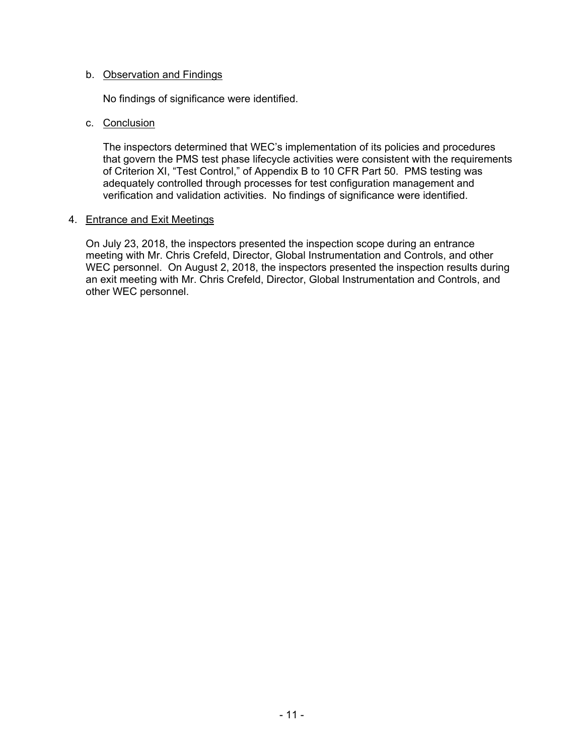#### b. Observation and Findings

No findings of significance were identified.

#### c. Conclusion

The inspectors determined that WEC's implementation of its policies and procedures that govern the PMS test phase lifecycle activities were consistent with the requirements of Criterion XI, "Test Control," of Appendix B to 10 CFR Part 50. PMS testing was adequately controlled through processes for test configuration management and verification and validation activities. No findings of significance were identified.

#### 4. Entrance and Exit Meetings

On July 23, 2018, the inspectors presented the inspection scope during an entrance meeting with Mr. Chris Crefeld, Director, Global Instrumentation and Controls, and other WEC personnel. On August 2, 2018, the inspectors presented the inspection results during an exit meeting with Mr. Chris Crefeld, Director, Global Instrumentation and Controls, and other WEC personnel.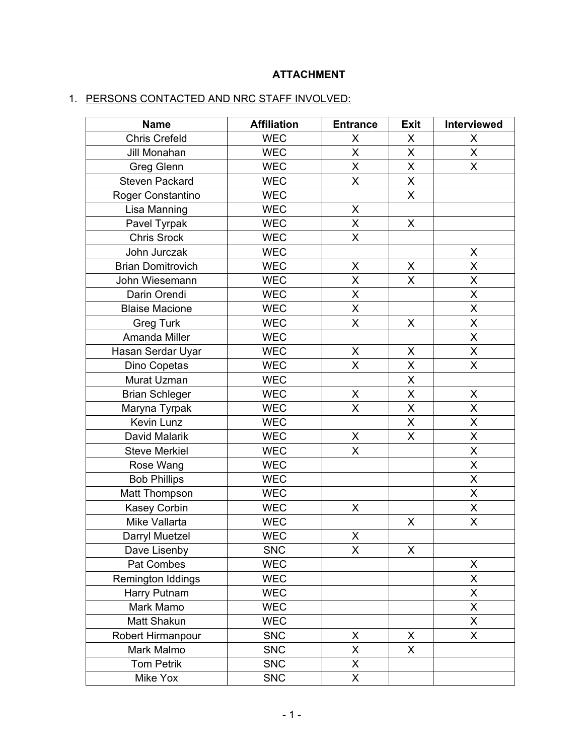# **ATTACHMENT**

# 1. PERSONS CONTACTED AND NRC STAFF INVOLVED:

| <b>Name</b>              | <b>Affiliation</b> | <b>Entrance</b>         | <b>Exit</b> | Interviewed             |
|--------------------------|--------------------|-------------------------|-------------|-------------------------|
| <b>Chris Crefeld</b>     | <b>WEC</b>         | X                       | X           | X                       |
| Jill Monahan             | <b>WEC</b>         | $\overline{\mathsf{X}}$ | X           | X                       |
| <b>Greg Glenn</b>        | <b>WEC</b>         | X                       | X           | X                       |
| <b>Steven Packard</b>    | <b>WEC</b>         | X                       | Χ           |                         |
| Roger Constantino        | <b>WEC</b>         |                         | X           |                         |
| Lisa Manning             | <b>WEC</b>         | X                       |             |                         |
| Pavel Tyrpak             | <b>WEC</b>         | X                       | $\mathsf X$ |                         |
| <b>Chris Srock</b>       | <b>WEC</b>         | $\sf X$                 |             |                         |
| John Jurczak             | <b>WEC</b>         |                         |             | X                       |
| <b>Brian Domitrovich</b> | <b>WEC</b>         | X                       | X           | Χ                       |
| John Wiesemann           | <b>WEC</b>         | X                       | X           | X                       |
| Darin Orendi             | <b>WEC</b>         | X                       |             | X                       |
| <b>Blaise Macione</b>    | <b>WEC</b>         | $\sf X$                 |             | X                       |
| <b>Greg Turk</b>         | <b>WEC</b>         | $\overline{\mathsf{X}}$ | X           | X                       |
| Amanda Miller            | <b>WEC</b>         |                         |             | $\overline{\mathsf{X}}$ |
| Hasan Serdar Uyar        | <b>WEC</b>         | X                       | X           | X                       |
| Dino Copetas             | <b>WEC</b>         | X                       | X           | X                       |
| Murat Uzman              | <b>WEC</b>         |                         | X           |                         |
| <b>Brian Schleger</b>    | <b>WEC</b>         | X                       | X           | X                       |
| Maryna Tyrpak            | <b>WEC</b>         | $\mathsf{X}$            | X           | X                       |
| Kevin Lunz               | <b>WEC</b>         |                         | X           | X                       |
| David Malarik            | <b>WEC</b>         | X                       | X           | X                       |
| <b>Steve Merkiel</b>     | <b>WEC</b>         | X                       |             | X                       |
| Rose Wang                | <b>WEC</b>         |                         |             | X                       |
| <b>Bob Phillips</b>      | <b>WEC</b>         |                         |             | X                       |
| Matt Thompson            | <b>WEC</b>         |                         |             | X                       |
| <b>Kasey Corbin</b>      | <b>WEC</b>         | X                       |             | X                       |
| Mike Vallarta            | <b>WEC</b>         |                         | X           | $\overline{\mathsf{x}}$ |
| Darryl Muetzel           | <b>WEC</b>         | X                       |             |                         |
| Dave Lisenby             | <b>SNC</b>         | X                       | X           |                         |
| Pat Combes               | <b>WEC</b>         |                         |             | X                       |
| Remington Iddings        | <b>WEC</b>         |                         |             | X                       |
| Harry Putnam             | <b>WEC</b>         |                         |             | X                       |
| Mark Mamo                | <b>WEC</b>         |                         |             | X                       |
| Matt Shakun              | <b>WEC</b>         |                         |             | X                       |
| Robert Hirmanpour        | <b>SNC</b>         | X                       | X           | X                       |
| Mark Malmo               | <b>SNC</b>         | X                       | X           |                         |
| <b>Tom Petrik</b>        | <b>SNC</b>         | X                       |             |                         |
| Mike Yox                 | <b>SNC</b>         | $\sf X$                 |             |                         |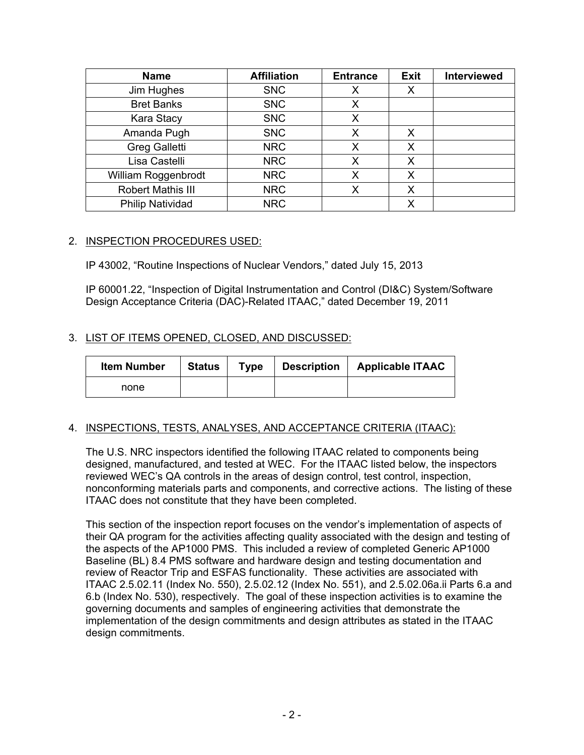| <b>Name</b>              | <b>Affiliation</b> | <b>Entrance</b> | <b>Exit</b> | <b>Interviewed</b> |
|--------------------------|--------------------|-----------------|-------------|--------------------|
| Jim Hughes               | <b>SNC</b>         |                 |             |                    |
| <b>Bret Banks</b>        | <b>SNC</b>         | Х               |             |                    |
| Kara Stacy               | <b>SNC</b>         | X               |             |                    |
| Amanda Pugh              | <b>SNC</b>         | Х               | X           |                    |
| <b>Greg Galletti</b>     | <b>NRC</b>         | Х               | Х           |                    |
| Lisa Castelli            | <b>NRC</b>         | Х               | Х           |                    |
| William Roggenbrodt      | <b>NRC</b>         |                 | X           |                    |
| <b>Robert Mathis III</b> | <b>NRC</b>         | х               | Х           |                    |
| <b>Philip Natividad</b>  | <b>NRC</b>         |                 | Х           |                    |

## 2. INSPECTION PROCEDURES USED:

IP 43002, "Routine Inspections of Nuclear Vendors," dated July 15, 2013

IP 60001.22, "Inspection of Digital Instrumentation and Control (DI&C) System/Software Design Acceptance Criteria (DAC)-Related ITAAC," dated December 19, 2011

## 3. LIST OF ITEMS OPENED, CLOSED, AND DISCUSSED:

| <b>Item Number</b> | <b>Status</b> | <b>Type</b> | <b>Description</b> | <b>Applicable ITAAC</b> |
|--------------------|---------------|-------------|--------------------|-------------------------|
| none               |               |             |                    |                         |

## 4. INSPECTIONS, TESTS, ANALYSES, AND ACCEPTANCE CRITERIA (ITAAC):

The U.S. NRC inspectors identified the following ITAAC related to components being designed, manufactured, and tested at WEC. For the ITAAC listed below, the inspectors reviewed WEC's QA controls in the areas of design control, test control, inspection, nonconforming materials parts and components, and corrective actions. The listing of these ITAAC does not constitute that they have been completed.

This section of the inspection report focuses on the vendor's implementation of aspects of their QA program for the activities affecting quality associated with the design and testing of the aspects of the AP1000 PMS. This included a review of completed Generic AP1000 Baseline (BL) 8.4 PMS software and hardware design and testing documentation and review of Reactor Trip and ESFAS functionality. These activities are associated with ITAAC 2.5.02.11 (Index No. 550), 2.5.02.12 (Index No. 551), and 2.5.02.06a.ii Parts 6.a and 6.b (Index No. 530), respectively. The goal of these inspection activities is to examine the governing documents and samples of engineering activities that demonstrate the implementation of the design commitments and design attributes as stated in the ITAAC design commitments.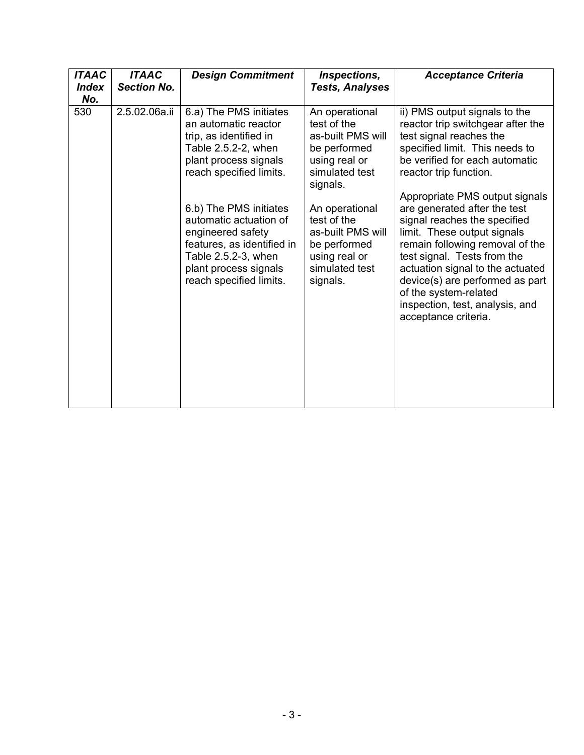| <b>ITAAC</b><br><b>Index</b><br>No. | <b>ITAAC</b><br><b>Section No.</b> | <b>Design Commitment</b>                                                                                                                                                       | Inspections,<br><b>Tests, Analyses</b>                                                                            | <b>Acceptance Criteria</b>                                                                                                                                                                                                                                                                                                                                 |
|-------------------------------------|------------------------------------|--------------------------------------------------------------------------------------------------------------------------------------------------------------------------------|-------------------------------------------------------------------------------------------------------------------|------------------------------------------------------------------------------------------------------------------------------------------------------------------------------------------------------------------------------------------------------------------------------------------------------------------------------------------------------------|
| 530                                 | 2.5.02.06a.ii                      | 6.a) The PMS initiates<br>an automatic reactor<br>trip, as identified in<br>Table 2.5.2-2, when<br>plant process signals<br>reach specified limits.                            | An operational<br>test of the<br>as-built PMS will<br>be performed<br>using real or<br>simulated test<br>signals. | ii) PMS output signals to the<br>reactor trip switchgear after the<br>test signal reaches the<br>specified limit. This needs to<br>be verified for each automatic<br>reactor trip function.                                                                                                                                                                |
|                                     |                                    | 6.b) The PMS initiates<br>automatic actuation of<br>engineered safety<br>features, as identified in<br>Table 2.5.2-3, when<br>plant process signals<br>reach specified limits. | An operational<br>test of the<br>as-built PMS will<br>be performed<br>using real or<br>simulated test<br>signals. | Appropriate PMS output signals<br>are generated after the test<br>signal reaches the specified<br>limit. These output signals<br>remain following removal of the<br>test signal. Tests from the<br>actuation signal to the actuated<br>device(s) are performed as part<br>of the system-related<br>inspection, test, analysis, and<br>acceptance criteria. |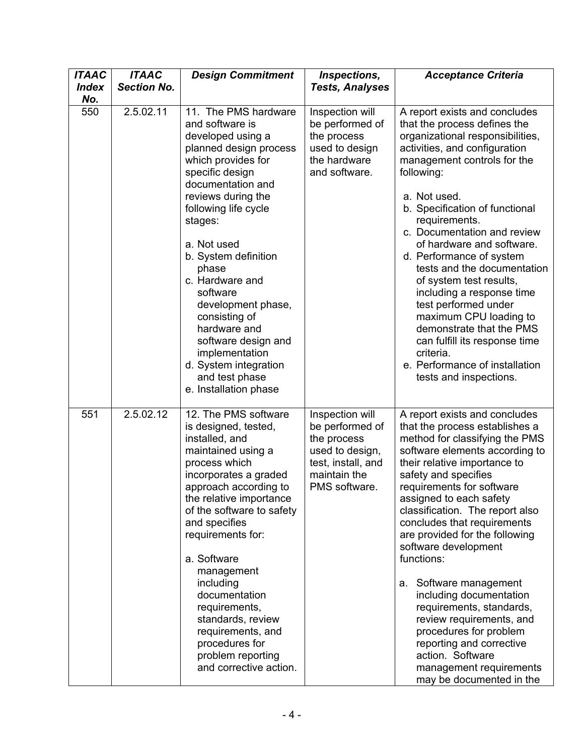| <b>ITAAC</b><br><b>Index</b> | <b>ITAAC</b><br><b>Section No.</b> | <b>Design Commitment</b>                                                                                                                                                                                                                                                                                                                                                                                                                                         | Inspections,<br><b>Tests, Analyses</b>                                                                                      | <b>Acceptance Criteria</b>                                                                                                                                                                                                                                                                                                                                                                                                                                                                                                                                                                                                                  |
|------------------------------|------------------------------------|------------------------------------------------------------------------------------------------------------------------------------------------------------------------------------------------------------------------------------------------------------------------------------------------------------------------------------------------------------------------------------------------------------------------------------------------------------------|-----------------------------------------------------------------------------------------------------------------------------|---------------------------------------------------------------------------------------------------------------------------------------------------------------------------------------------------------------------------------------------------------------------------------------------------------------------------------------------------------------------------------------------------------------------------------------------------------------------------------------------------------------------------------------------------------------------------------------------------------------------------------------------|
| No.                          |                                    |                                                                                                                                                                                                                                                                                                                                                                                                                                                                  |                                                                                                                             |                                                                                                                                                                                                                                                                                                                                                                                                                                                                                                                                                                                                                                             |
| 550                          | 2.5.02.11                          | 11. The PMS hardware<br>and software is<br>developed using a<br>planned design process<br>which provides for<br>specific design<br>documentation and<br>reviews during the<br>following life cycle<br>stages:<br>a. Not used<br>b. System definition<br>phase<br>c. Hardware and<br>software<br>development phase,<br>consisting of<br>hardware and<br>software design and<br>implementation<br>d. System integration<br>and test phase<br>e. Installation phase | Inspection will<br>be performed of<br>the process<br>used to design<br>the hardware<br>and software.                        | A report exists and concludes<br>that the process defines the<br>organizational responsibilities,<br>activities, and configuration<br>management controls for the<br>following:<br>a. Not used.<br>b. Specification of functional<br>requirements.<br>c. Documentation and review<br>of hardware and software.<br>d. Performance of system<br>tests and the documentation<br>of system test results,<br>including a response time<br>test performed under<br>maximum CPU loading to<br>demonstrate that the PMS<br>can fulfill its response time<br>criteria.<br>e. Performance of installation<br>tests and inspections.                   |
| 551                          | 2.5.02.12                          | 12. The PMS software<br>is designed, tested,<br>installed, and<br>maintained using a<br>process which<br>incorporates a graded<br>approach according to<br>the relative importance<br>of the software to safety<br>and specifies<br>requirements for:<br>a. Software<br>management<br>including<br>documentation<br>requirements,<br>standards, review<br>requirements, and<br>procedures for<br>problem reporting<br>and corrective action.                     | Inspection will<br>be performed of<br>the process<br>used to design,<br>test, install, and<br>maintain the<br>PMS software. | A report exists and concludes<br>that the process establishes a<br>method for classifying the PMS<br>software elements according to<br>their relative importance to<br>safety and specifies<br>requirements for software<br>assigned to each safety<br>classification. The report also<br>concludes that requirements<br>are provided for the following<br>software development<br>functions:<br>a. Software management<br>including documentation<br>requirements, standards,<br>review requirements, and<br>procedures for problem<br>reporting and corrective<br>action. Software<br>management requirements<br>may be documented in the |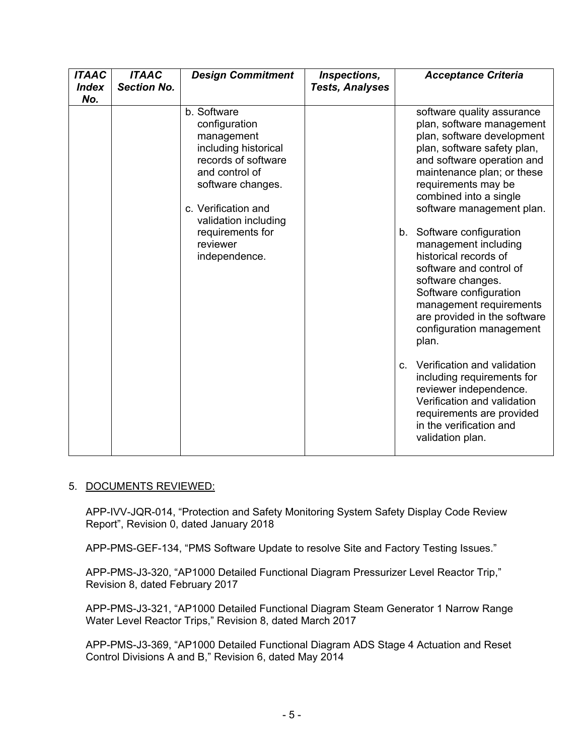| <b>ITAAC</b><br><b>Index</b><br>No. | <b>ITAAC</b><br><b>Section No.</b> | <b>Design Commitment</b>                                                                                                                                                                                                         | Inspections,<br><b>Tests, Analyses</b> | <b>Acceptance Criteria</b>                                                                                                                                                                                                                                                                                                                                                                                                                                                                                                                                                                                                                                                                                                          |
|-------------------------------------|------------------------------------|----------------------------------------------------------------------------------------------------------------------------------------------------------------------------------------------------------------------------------|----------------------------------------|-------------------------------------------------------------------------------------------------------------------------------------------------------------------------------------------------------------------------------------------------------------------------------------------------------------------------------------------------------------------------------------------------------------------------------------------------------------------------------------------------------------------------------------------------------------------------------------------------------------------------------------------------------------------------------------------------------------------------------------|
|                                     |                                    | b. Software<br>configuration<br>management<br>including historical<br>records of software<br>and control of<br>software changes.<br>c. Verification and<br>validation including<br>requirements for<br>reviewer<br>independence. |                                        | software quality assurance<br>plan, software management<br>plan, software development<br>plan, software safety plan,<br>and software operation and<br>maintenance plan; or these<br>requirements may be<br>combined into a single<br>software management plan.<br>b. Software configuration<br>management including<br>historical records of<br>software and control of<br>software changes.<br>Software configuration<br>management requirements<br>are provided in the software<br>configuration management<br>plan.<br>Verification and validation<br>$C_{-}$<br>including requirements for<br>reviewer independence.<br>Verification and validation<br>requirements are provided<br>in the verification and<br>validation plan. |

## 5. DOCUMENTS REVIEWED:

APP-IVV-JQR-014, "Protection and Safety Monitoring System Safety Display Code Review Report", Revision 0, dated January 2018

APP-PMS-GEF-134, "PMS Software Update to resolve Site and Factory Testing Issues."

APP-PMS-J3-320, "AP1000 Detailed Functional Diagram Pressurizer Level Reactor Trip," Revision 8, dated February 2017

APP-PMS-J3-321, "AP1000 Detailed Functional Diagram Steam Generator 1 Narrow Range Water Level Reactor Trips," Revision 8, dated March 2017

APP-PMS-J3-369, "AP1000 Detailed Functional Diagram ADS Stage 4 Actuation and Reset Control Divisions A and B," Revision 6, dated May 2014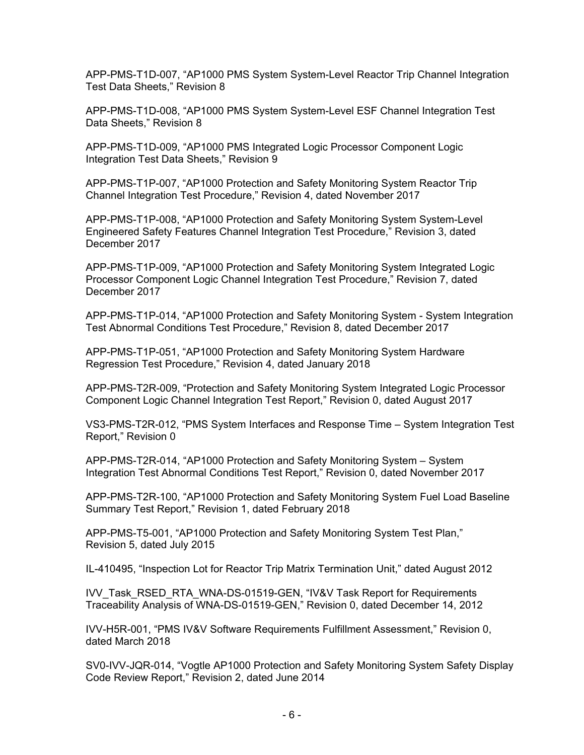APP-PMS-T1D-007, "AP1000 PMS System System-Level Reactor Trip Channel Integration Test Data Sheets," Revision 8

APP-PMS-T1D-008, "AP1000 PMS System System-Level ESF Channel Integration Test Data Sheets," Revision 8

APP-PMS-T1D-009, "AP1000 PMS Integrated Logic Processor Component Logic Integration Test Data Sheets," Revision 9

APP-PMS-T1P-007, "AP1000 Protection and Safety Monitoring System Reactor Trip Channel Integration Test Procedure," Revision 4, dated November 2017

APP-PMS-T1P-008, "AP1000 Protection and Safety Monitoring System System-Level Engineered Safety Features Channel Integration Test Procedure," Revision 3, dated December 2017

APP-PMS-T1P-009, "AP1000 Protection and Safety Monitoring System Integrated Logic Processor Component Logic Channel Integration Test Procedure," Revision 7, dated December 2017

APP-PMS-T1P-014, "AP1000 Protection and Safety Monitoring System - System Integration Test Abnormal Conditions Test Procedure," Revision 8, dated December 2017

APP-PMS-T1P-051, "AP1000 Protection and Safety Monitoring System Hardware Regression Test Procedure," Revision 4, dated January 2018

APP-PMS-T2R-009, "Protection and Safety Monitoring System Integrated Logic Processor Component Logic Channel Integration Test Report," Revision 0, dated August 2017

VS3-PMS-T2R-012, "PMS System Interfaces and Response Time – System Integration Test Report," Revision 0

APP-PMS-T2R-014, "AP1000 Protection and Safety Monitoring System – System Integration Test Abnormal Conditions Test Report," Revision 0, dated November 2017

APP-PMS-T2R-100, "AP1000 Protection and Safety Monitoring System Fuel Load Baseline Summary Test Report," Revision 1, dated February 2018

APP-PMS-T5-001, "AP1000 Protection and Safety Monitoring System Test Plan," Revision 5, dated July 2015

IL-410495, "Inspection Lot for Reactor Trip Matrix Termination Unit," dated August 2012

IVV\_Task\_RSED\_RTA\_WNA-DS-01519-GEN, "IV&V Task Report for Requirements Traceability Analysis of WNA-DS-01519-GEN," Revision 0, dated December 14, 2012

IVV-H5R-001, "PMS IV&V Software Requirements Fulfillment Assessment," Revision 0, dated March 2018

SV0-IVV-JQR-014, "Vogtle AP1000 Protection and Safety Monitoring System Safety Display Code Review Report," Revision 2, dated June 2014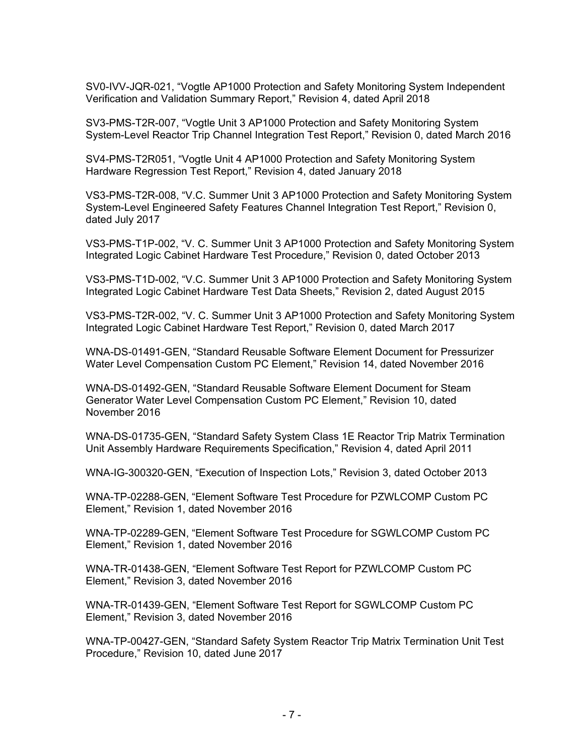SV0-IVV-JQR-021, "Vogtle AP1000 Protection and Safety Monitoring System Independent Verification and Validation Summary Report," Revision 4, dated April 2018

SV3-PMS-T2R-007, "Vogtle Unit 3 AP1000 Protection and Safety Monitoring System System-Level Reactor Trip Channel Integration Test Report," Revision 0, dated March 2016

SV4-PMS-T2R051, "Vogtle Unit 4 AP1000 Protection and Safety Monitoring System Hardware Regression Test Report," Revision 4, dated January 2018

VS3-PMS-T2R-008, "V.C. Summer Unit 3 AP1000 Protection and Safety Monitoring System System-Level Engineered Safety Features Channel Integration Test Report," Revision 0, dated July 2017

VS3-PMS-T1P-002, "V. C. Summer Unit 3 AP1000 Protection and Safety Monitoring System Integrated Logic Cabinet Hardware Test Procedure," Revision 0, dated October 2013

VS3-PMS-T1D-002, "V.C. Summer Unit 3 AP1000 Protection and Safety Monitoring System Integrated Logic Cabinet Hardware Test Data Sheets," Revision 2, dated August 2015

VS3-PMS-T2R-002, "V. C. Summer Unit 3 AP1000 Protection and Safety Monitoring System Integrated Logic Cabinet Hardware Test Report," Revision 0, dated March 2017

WNA-DS-01491-GEN, "Standard Reusable Software Element Document for Pressurizer Water Level Compensation Custom PC Element," Revision 14, dated November 2016

WNA-DS-01492-GEN, "Standard Reusable Software Element Document for Steam Generator Water Level Compensation Custom PC Element," Revision 10, dated November 2016

WNA-DS-01735-GEN, "Standard Safety System Class 1E Reactor Trip Matrix Termination Unit Assembly Hardware Requirements Specification," Revision 4, dated April 2011

WNA-IG-300320-GEN, "Execution of Inspection Lots," Revision 3, dated October 2013

WNA-TP-02288-GEN, "Element Software Test Procedure for PZWLCOMP Custom PC Element," Revision 1, dated November 2016

WNA-TP-02289-GEN, "Element Software Test Procedure for SGWLCOMP Custom PC Element," Revision 1, dated November 2016

WNA-TR-01438-GEN, "Element Software Test Report for PZWLCOMP Custom PC Element," Revision 3, dated November 2016

WNA-TR-01439-GEN, "Element Software Test Report for SGWLCOMP Custom PC Element," Revision 3, dated November 2016

WNA-TP-00427-GEN, "Standard Safety System Reactor Trip Matrix Termination Unit Test Procedure," Revision 10, dated June 2017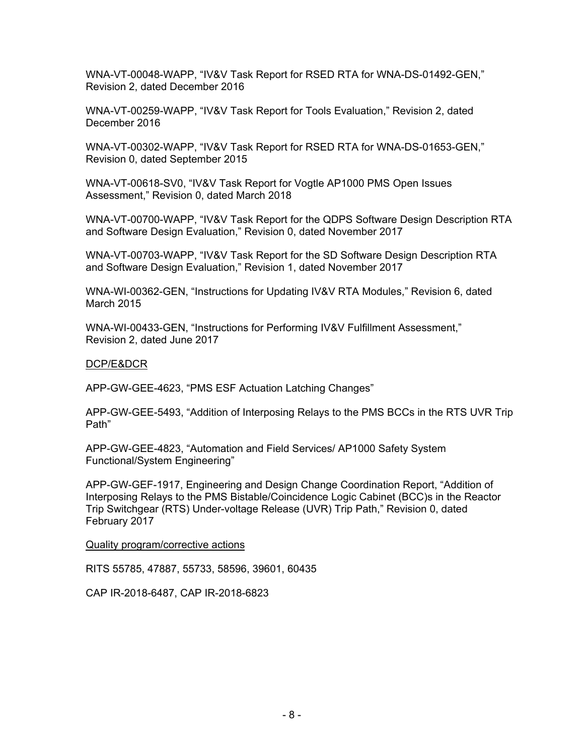WNA-VT-00048-WAPP, "IV&V Task Report for RSED RTA for WNA-DS-01492-GEN," Revision 2, dated December 2016

WNA-VT-00259-WAPP, "IV&V Task Report for Tools Evaluation," Revision 2, dated December 2016

WNA-VT-00302-WAPP, "IV&V Task Report for RSED RTA for WNA-DS-01653-GEN," Revision 0, dated September 2015

WNA-VT-00618-SV0, "IV&V Task Report for Vogtle AP1000 PMS Open Issues Assessment," Revision 0, dated March 2018

WNA-VT-00700-WAPP, "IV&V Task Report for the QDPS Software Design Description RTA and Software Design Evaluation," Revision 0, dated November 2017

WNA-VT-00703-WAPP, "IV&V Task Report for the SD Software Design Description RTA and Software Design Evaluation," Revision 1, dated November 2017

WNA-WI-00362-GEN, "Instructions for Updating IV&V RTA Modules," Revision 6, dated March 2015

WNA-WI-00433-GEN, "Instructions for Performing IV&V Fulfillment Assessment," Revision 2, dated June 2017

#### DCP/E&DCR

APP-GW-GEE-4623, "PMS ESF Actuation Latching Changes"

APP-GW-GEE-5493, "Addition of Interposing Relays to the PMS BCCs in the RTS UVR Trip Path"

APP-GW-GEE-4823, "Automation and Field Services/ AP1000 Safety System Functional/System Engineering"

APP-GW-GEF-1917, Engineering and Design Change Coordination Report, "Addition of Interposing Relays to the PMS Bistable/Coincidence Logic Cabinet (BCC)s in the Reactor Trip Switchgear (RTS) Under-voltage Release (UVR) Trip Path," Revision 0, dated February 2017

#### Quality program/corrective actions

RITS 55785, 47887, 55733, 58596, 39601, 60435

CAP IR-2018-6487, CAP IR-2018-6823